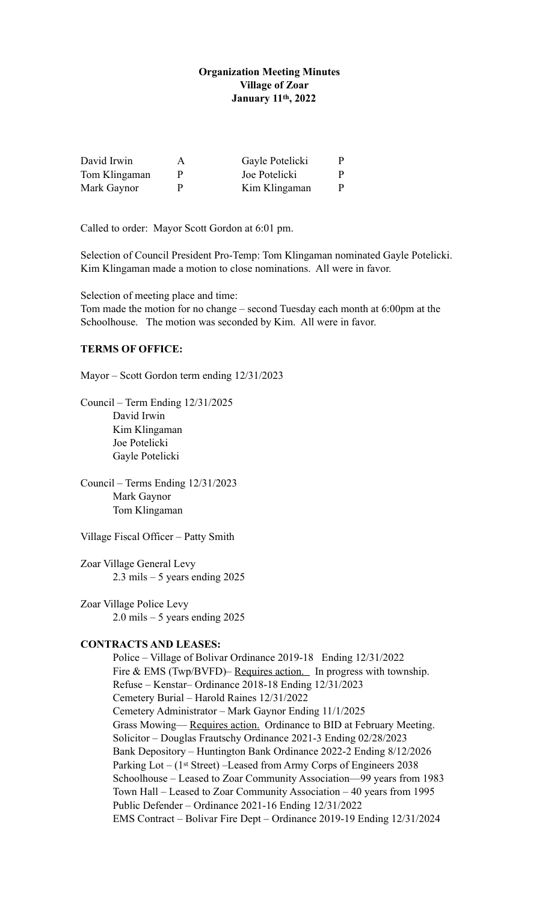# **Organization Meeting Minutes Village of Zoar January 11th, 2022**

| David Irwin   | А | Gayle Potelicki | P. |
|---------------|---|-----------------|----|
| Tom Klingaman | Ρ | Joe Potelicki   | P  |
| Mark Gaynor   | Ρ | Kim Klingaman   | P. |

Called to order: Mayor Scott Gordon at 6:01 pm.

Selection of Council President Pro-Temp: Tom Klingaman nominated Gayle Potelicki. Kim Klingaman made a motion to close nominations. All were in favor.

Selection of meeting place and time: Tom made the motion for no change – second Tuesday each month at 6:00pm at the Schoolhouse. The motion was seconded by Kim. All were in favor.

### **TERMS OF OFFICE:**

Mayor – Scott Gordon term ending 12/31/2023

Council – Term Ending 12/31/2025 David Irwin Kim Klingaman Joe Potelicki Gayle Potelicki

Council – Terms Ending 12/31/2023 Mark Gaynor Tom Klingaman

Village Fiscal Officer – Patty Smith

Zoar Village General Levy 2.3 mils – 5 years ending 2025

Zoar Village Police Levy 2.0 mils – 5 years ending 2025

### **CONTRACTS AND LEASES:**

 Police – Village of Bolivar Ordinance 2019-18 Ending 12/31/2022 Fire & EMS (Twp/BVFD)– Requires action. In progress with township. Refuse – Kenstar– Ordinance 2018-18 Ending 12/31/2023 Cemetery Burial – Harold Raines 12/31/2022 Cemetery Administrator – Mark Gaynor Ending 11/1/2025 Grass Mowing— Requires action. Ordinance to BID at February Meeting. Solicitor – Douglas Frautschy Ordinance 2021-3 Ending 02/28/2023 Bank Depository – Huntington Bank Ordinance 2022-2 Ending 8/12/2026 Parking Lot – (1<sup>st</sup> Street) –Leased from Army Corps of Engineers 2038 Schoolhouse – Leased to Zoar Community Association—99 years from 1983 Town Hall – Leased to Zoar Community Association – 40 years from 1995 Public Defender – Ordinance 2021-16 Ending 12/31/2022 EMS Contract – Bolivar Fire Dept – Ordinance 2019-19 Ending 12/31/2024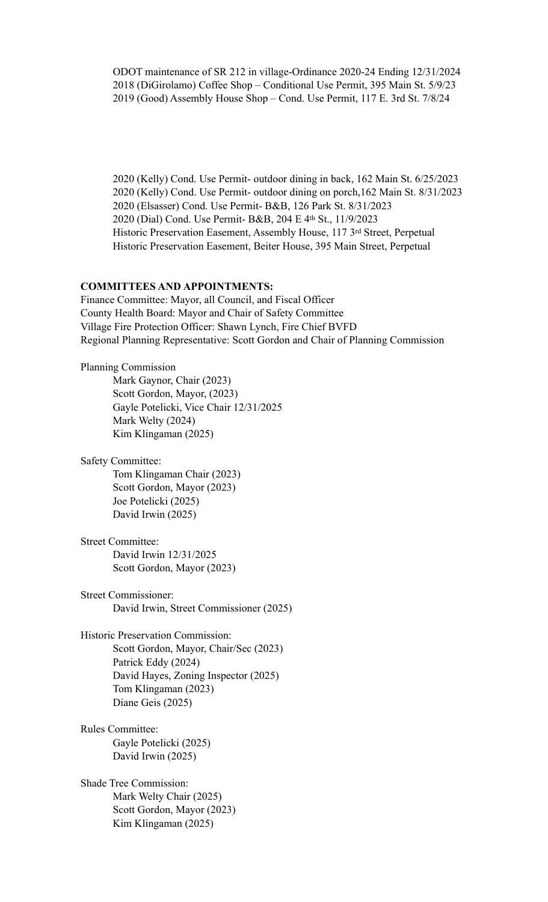ODOT maintenance of SR 212 in village-Ordinance 2020-24 Ending 12/31/2024 2018 (DiGirolamo) Coffee Shop – Conditional Use Permit, 395 Main St. 5/9/23 2019 (Good) Assembly House Shop – Cond. Use Permit, 117 E. 3rd St. 7/8/24

 2020 (Kelly) Cond. Use Permit- outdoor dining in back, 162 Main St. 6/25/2023 2020 (Kelly) Cond. Use Permit- outdoor dining on porch,162 Main St. 8/31/2023 2020 (Elsasser) Cond. Use Permit- B&B, 126 Park St. 8/31/2023 2020 (Dial) Cond. Use Permit- B&B, 204 E 4th St., 11/9/2023 Historic Preservation Easement, Assembly House, 117 3rd Street, Perpetual Historic Preservation Easement, Beiter House, 395 Main Street, Perpetual

#### **COMMITTEES AND APPOINTMENTS:**

Finance Committee: Mayor, all Council, and Fiscal Officer County Health Board: Mayor and Chair of Safety Committee Village Fire Protection Officer: Shawn Lynch, Fire Chief BVFD Regional Planning Representative: Scott Gordon and Chair of Planning Commission

Planning Commission

 Mark Gaynor, Chair (2023) Scott Gordon, Mayor, (2023) Gayle Potelicki, Vice Chair 12/31/2025 Mark Welty (2024) Kim Klingaman (2025)

Safety Committee:

Tom Klingaman Chair (2023) Scott Gordon, Mayor (2023) Joe Potelicki (2025) David Irwin (2025)

## Street Committee: David Irwin 12/31/2025 Scott Gordon, Mayor (2023)

Street Commissioner: David Irwin, Street Commissioner (2025)

Historic Preservation Commission: Scott Gordon, Mayor, Chair/Sec (2023) Patrick Eddy (2024) David Hayes, Zoning Inspector (2025) Tom Klingaman (2023) Diane Geis (2025)

Rules Committee: Gayle Potelicki (2025) David Irwin (2025)

Shade Tree Commission: Mark Welty Chair (2025) Scott Gordon, Mayor (2023) Kim Klingaman (2025)